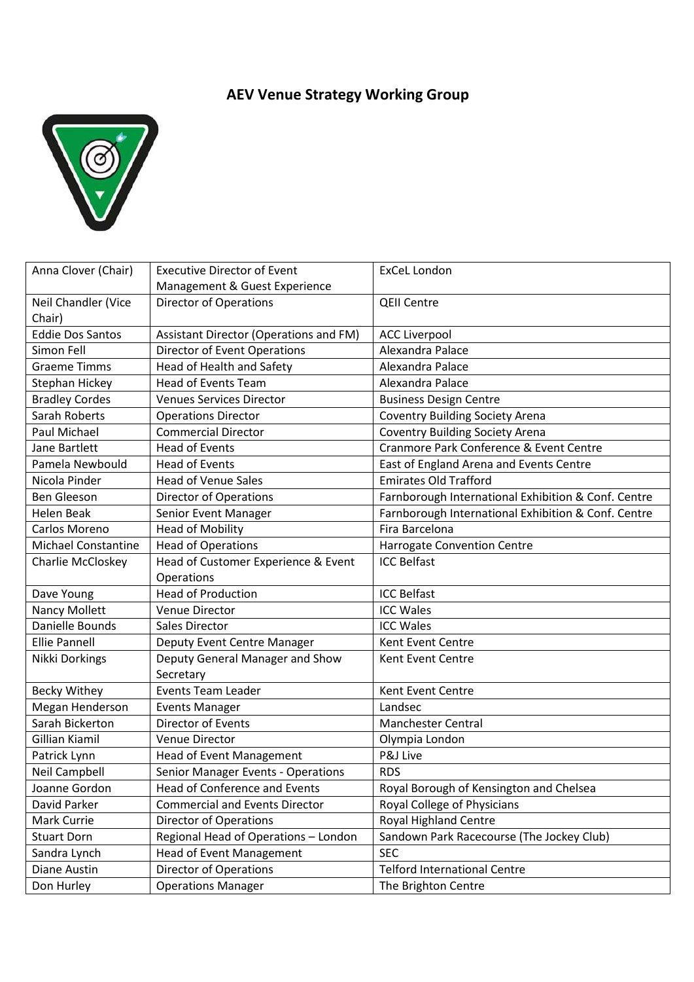## **AEV Venue Strategy Working Group**



| Anna Clover (Chair)        | <b>Executive Director of Event</b>     | <b>ExCeL London</b>                                 |
|----------------------------|----------------------------------------|-----------------------------------------------------|
|                            | Management & Guest Experience          |                                                     |
| Neil Chandler (Vice        | <b>Director of Operations</b>          | <b>QEII Centre</b>                                  |
| Chair)                     |                                        |                                                     |
| <b>Eddie Dos Santos</b>    | Assistant Director (Operations and FM) | <b>ACC Liverpool</b>                                |
| Simon Fell                 | Director of Event Operations           | Alexandra Palace                                    |
| <b>Graeme Timms</b>        | Head of Health and Safety              | Alexandra Palace                                    |
| Stephan Hickey             | <b>Head of Events Team</b>             | Alexandra Palace                                    |
| <b>Bradley Cordes</b>      | <b>Venues Services Director</b>        | <b>Business Design Centre</b>                       |
| <b>Sarah Roberts</b>       | <b>Operations Director</b>             | <b>Coventry Building Society Arena</b>              |
| Paul Michael               | <b>Commercial Director</b>             | <b>Coventry Building Society Arena</b>              |
| Jane Bartlett              | <b>Head of Events</b>                  | Cranmore Park Conference & Event Centre             |
| Pamela Newbould            | <b>Head of Events</b>                  | East of England Arena and Events Centre             |
| Nicola Pinder              | <b>Head of Venue Sales</b>             | <b>Emirates Old Trafford</b>                        |
| <b>Ben Gleeson</b>         | <b>Director of Operations</b>          | Farnborough International Exhibition & Conf. Centre |
| <b>Helen Beak</b>          | Senior Event Manager                   | Farnborough International Exhibition & Conf. Centre |
| Carlos Moreno              | <b>Head of Mobility</b>                | Fira Barcelona                                      |
| <b>Michael Constantine</b> | <b>Head of Operations</b>              | Harrogate Convention Centre                         |
| Charlie McCloskey          | Head of Customer Experience & Event    | <b>ICC Belfast</b>                                  |
|                            | Operations                             |                                                     |
| Dave Young                 | <b>Head of Production</b>              | <b>ICC Belfast</b>                                  |
| <b>Nancy Mollett</b>       | <b>Venue Director</b>                  | <b>ICC Wales</b>                                    |
| Danielle Bounds            | Sales Director                         | <b>ICC Wales</b>                                    |
| <b>Ellie Pannell</b>       | Deputy Event Centre Manager            | Kent Event Centre                                   |
| Nikki Dorkings             | Deputy General Manager and Show        | Kent Event Centre                                   |
|                            | Secretary                              |                                                     |
| <b>Becky Withey</b>        | <b>Events Team Leader</b>              | Kent Event Centre                                   |
| Megan Henderson            | <b>Events Manager</b>                  | Landsec                                             |
| Sarah Bickerton            | <b>Director of Events</b>              | <b>Manchester Central</b>                           |
| <b>Gillian Kiamil</b>      | Venue Director                         | Olympia London                                      |
| Patrick Lynn               | <b>Head of Event Management</b>        | P&J Live                                            |
| <b>Neil Campbell</b>       | Senior Manager Events - Operations     | <b>RDS</b>                                          |
| Joanne Gordon              | Head of Conference and Events          | Royal Borough of Kensington and Chelsea             |
| David Parker               | <b>Commercial and Events Director</b>  | Royal College of Physicians                         |
| Mark Currie                | Director of Operations                 | <b>Royal Highland Centre</b>                        |
| <b>Stuart Dorn</b>         | Regional Head of Operations - London   | Sandown Park Racecourse (The Jockey Club)           |
| Sandra Lynch               | <b>Head of Event Management</b>        | <b>SEC</b>                                          |
| Diane Austin               | Director of Operations                 | <b>Telford International Centre</b>                 |
| Don Hurley                 | <b>Operations Manager</b>              | The Brighton Centre                                 |